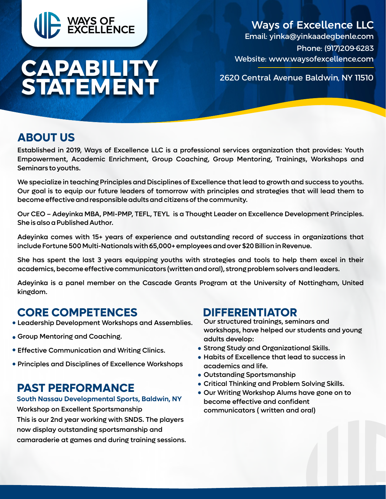

# **CAPABILITY STATEMENT**

### Ways of Excellence LLC Email: yinka@yinkaadegbenle.com Phone: (917)209-6283

Website: www.waysofexcellence.com

2620 Central Avenue Baldwin, NY 11510

# **ABOUT US**

Established in 2019, Ways of Excellence LLC is a professional services organization that provides: Youth Empowerment, Academic Enrichment, Group Coaching, Group Mentoring, Trainings, Workshops and Seminars to youths.

We specialize in teaching Principles and Disciplines of Excellence that lead to growth and success to youths. Our goal is to equip our future leaders of tomorrow with principles and strategies that will lead them to become effective and responsible adults and citizens of the community.

Our CEO – Adeyinka MBA, PMI-PMP, TEFL, TEYL is a Thought Leader on Excellence Development Principles. She is also a Published Author.

Adeyinka comes with 15+ years of experience and outstanding record of success in organizations that include Fortune 500 Multi-Nationals with 65,000+ employees and over \$20 Billion in Revenue.

She has spent the last 3 years equipping youths with strategies and tools to help them excel in their academics, become effective communicators (written and oral), strong problem solvers and leaders.

Adeyinka is a panel member on the Cascade Grants Program at the University of Nottingham, United kingdom.

## **CORE COMPETENCES DIFFERENTIATOR**

- Leadership Development Workshops and Assemblies.
- Group Mentoring and Coaching.
- **Effective Communication and Writing Clinics.**
- Principles and Disciplines of Excellence Workshops

# **PAST PERFORMANCE**

### **South Nassau Developmental Sports, Baldwin, NY**

Workshop on Excellent Sportsmanship This is our 2nd year working with SNDS. The players now display outstanding sportsmanship and camaraderie at games and during training sessions.

Our structured trainings, seminars and workshops, have helped our students and young adults develop:

- Strong Study and Organizational Skills.
- Habits of Excellence that lead to success in academics and life.
- Outstanding Sportsmanship
- Critical Thinking and Problem Solving Skills.
- Our Writing Workshop Alums have gone on to become effective and confident communicators ( written and oral)